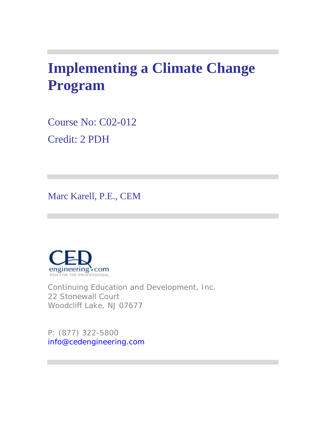# **Implementing a Climate Change Program**

Course No: C02-012 Credit: 2 PDH

Marc Karell, P.E., CEM



Continuing Education and Development, Inc. 22 Stonewall Court Woodcliff Lake, NJ 07677

P: (877) 322-5800 info@cedengineering.com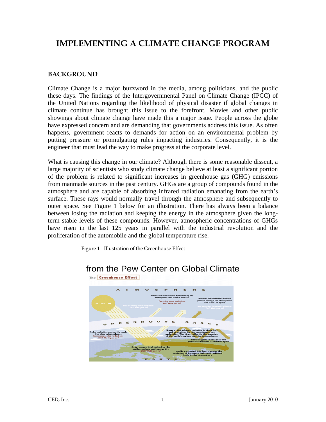# **IMPLEMENTING A CLIMATE CHANGE PROGRAM**

#### **BACKGROUND**

Climate Change is a major buzzword in the media, among politicians, and the public these days. The findings of the Intergovernmental Panel on Climate Change (IPCC) of the United Nations regarding the likelihood of physical disaster if global changes in climate continue has brought this issue to the forefront. Movies and other public showings about climate change have made this a major issue. People across the globe have expressed concern and are demanding that governments address this issue. As often happens, government reacts to demands for action on an environmental problem by putting pressure or promulgating rules impacting industries. Consequently, it is the engineer that must lead the way to make progress at the corporate level.

What is causing this change in our climate? Although there is some reasonable dissent, a large majority of scientists who study climate change believe at least a significant portion of the problem is related to significant increases in greenhouse gas (GHG) emissions from manmade sources in the past century. GHGs are a group of compounds found in the atmosphere and are capable of absorbing infrared radiation emanating from the earth's surface. These rays would normally travel through the atmosphere and subsequently to outer space. See Figure 1 below for an illustration. There has always been a balance between losing the radiation and keeping the energy in the atmosphere given the longterm stable levels of these compounds. However, atmospheric concentrations of GHGs have risen in the last 125 years in parallel with the industrial revolution and the proliferation of the automobile and the global temperature rise.

Figure 1 - Illustration of the Greenhouse Effect



# from the Pew Center on Global Climate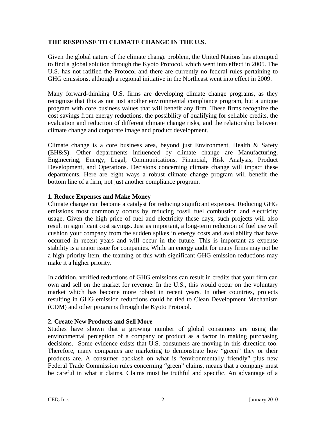#### **THE RESPONSE TO CLIMATE CHANGE IN THE U.S.**

Given the global nature of the climate change problem, the United Nations has attempted to find a global solution through the Kyoto Protocol, which went into effect in 2005. The U.S. has not ratified the Protocol and there are currently no federal rules pertaining to GHG emissions, although a regional initiative in the Northeast went into effect in 2009.

Many forward-thinking U.S. firms are developing climate change programs, as they recognize that this as not just another environmental compliance program, but a unique program with core business values that will benefit any firm. These firms recognize the cost savings from energy reductions, the possibility of qualifying for sellable credits, the evaluation and reduction of different climate change risks, and the relationship between climate change and corporate image and product development.

Climate change is a core business area, beyond just Environment, Health & Safety (EH&S). Other departments influenced by climate change are Manufacturing, Engineering, Energy, Legal, Communications, Financial, Risk Analysis, Product Development, and Operations. Decisions concerning climate change will impact these departments. Here are eight ways a robust climate change program will benefit the bottom line of a firm, not just another compliance program.

#### **1. Reduce Expenses and Make Money**

Climate change can become a catalyst for reducing significant expenses. Reducing GHG emissions most commonly occurs by reducing fossil fuel combustion and electricity usage. Given the high price of fuel and electricity these days, such projects will also result in significant cost savings. Just as important, a long-term reduction of fuel use will cushion your company from the sudden spikes in energy costs and availability that have occurred in recent years and will occur in the future. This is important as expense stability is a major issue for companies. While an energy audit for many firms may not be a high priority item, the teaming of this with significant GHG emission reductions may make it a higher priority.

In addition, verified reductions of GHG emissions can result in credits that your firm can own and sell on the market for revenue. In the U.S., this would occur on the voluntary market which has become more robust in recent years. In other countries, projects resulting in GHG emission reductions could be tied to Clean Development Mechanism (CDM) and other programs through the Kyoto Protocol.

#### **2. Create New Products and Sell More**

Studies have shown that a growing number of global consumers are using the environmental perception of a company or product as a factor in making purchasing decisions. Some evidence exists that U.S. consumers are moving in this direction too. Therefore, many companies are marketing to demonstrate how "green" they or their products are. A consumer backlash on what is "environmentally friendly" plus new Federal Trade Commission rules concerning "green" claims, means that a company must be careful in what it claims. Claims must be truthful and specific. An advantage of a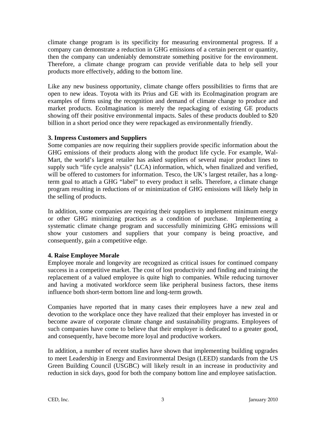climate change program is its specificity for measuring environmental progress. If a company can demonstrate a reduction in GHG emissions of a certain percent or quantity, then the company can undeniably demonstrate something positive for the environment. Therefore, a climate change program can provide verifiable data to help sell your products more effectively, adding to the bottom line.

Like any new business opportunity, climate change offers possibilities to firms that are open to new ideas. Toyota with its Prius and GE with its EcoImagination program are examples of firms using the recognition and demand of climate change to produce and market products. EcoImagination is merely the repackaging of existing GE products showing off their positive environmental impacts. Sales of these products doubled to \$20 billion in a short period once they were repackaged as environmentally friendly.

#### **3. Impress Customers and Suppliers**

Some companies are now requiring their suppliers provide specific information about the GHG emissions of their products along with the product life cycle. For example, Wal-Mart, the world's largest retailer has asked suppliers of several major product lines to supply such "life cycle analysis" (LCA) information, which, when finalized and verified, will be offered to customers for information. Tesco, the UK's largest retailer, has a longterm goal to attach a GHG "label" to every product it sells. Therefore, a climate change program resulting in reductions of or minimization of GHG emissions will likely help in the selling of products.

In addition, some companies are requiring their suppliers to implement minimum energy or other GHG minimizing practices as a condition of purchase. Implementing a systematic climate change program and successfully minimizing GHG emissions will show your customers and suppliers that your company is being proactive, and consequently, gain a competitive edge.

#### **4. Raise Employee Morale**

Employee morale and longevity are recognized as critical issues for continued company success in a competitive market. The cost of lost productivity and finding and training the replacement of a valued employee is quite high to companies. While reducing turnover and having a motivated workforce seem like peripheral business factors, these items influence both short-term bottom line and long-term growth.

Companies have reported that in many cases their employees have a new zeal and devotion to the workplace once they have realized that their employer has invested in or become aware of corporate climate change and sustainability programs. Employees of such companies have come to believe that their employer is dedicated to a greater good, and consequently, have become more loyal and productive workers.

In addition, a number of recent studies have shown that implementing building upgrades to meet Leadership in Energy and Environmental Design (LEED) standards from the US Green Building Council (USGBC) will likely result in an increase in productivity and reduction in sick days, good for both the company bottom line and employee satisfaction.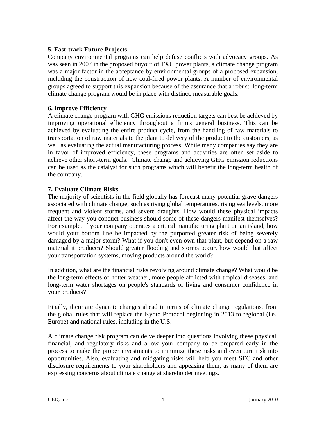#### **5. Fast-track Future Projects**

Company environmental programs can help defuse conflicts with advocacy groups. As was seen in 2007 in the proposed buyout of TXU power plants, a climate change program was a major factor in the acceptance by environmental groups of a proposed expansion, including the construction of new coal-fired power plants. A number of environmental groups agreed to support this expansion because of the assurance that a robust, long-term climate change program would be in place with distinct, measurable goals.

#### **6. Improve Efficiency**

A climate change program with GHG emissions reduction targets can best be achieved by improving operational efficiency throughout a firm's general business. This can be achieved by evaluating the entire product cycle, from the handling of raw materials to transportation of raw materials to the plant to delivery of the product to the customers, as well as evaluating the actual manufacturing process. While many companies say they are in favor of improved efficiency, these programs and activities are often set aside to achieve other short-term goals. Climate change and achieving GHG emission reductions can be used as the catalyst for such programs which will benefit the long-term health of the company.

#### **7. Evaluate Climate Risks**

The majority of scientists in the field globally has forecast many potential grave dangers associated with climate change, such as rising global temperatures, rising sea levels, more frequent and violent storms, and severe draughts. How would these physical impacts affect the way you conduct business should some of these dangers manifest themselves? For example, if your company operates a critical manufacturing plant on an island, how would your bottom line be impacted by the purported greater risk of being severely damaged by a major storm? What if you don't even own that plant, but depend on a raw material it produces? Should greater flooding and storms occur, how would that affect your transportation systems, moving products around the world?

In addition, what are the financial risks revolving around climate change? What would be the long-term effects of hotter weather, more people afflicted with tropical diseases, and long-term water shortages on people's standards of living and consumer confidence in your products?

Finally, there are dynamic changes ahead in terms of climate change regulations, from the global rules that will replace the Kyoto Protocol beginning in 2013 to regional (i.e., Europe) and national rules, including in the U.S.

A climate change risk program can delve deeper into questions involving these physical, financial, and regulatory risks and allow your company to be prepared early in the process to make the proper investments to minimize these risks and even turn risk into opportunities. Also, evaluating and mitigating risks will help you meet SEC and other disclosure requirements to your shareholders and appeasing them, as many of them are expressing concerns about climate change at shareholder meetings.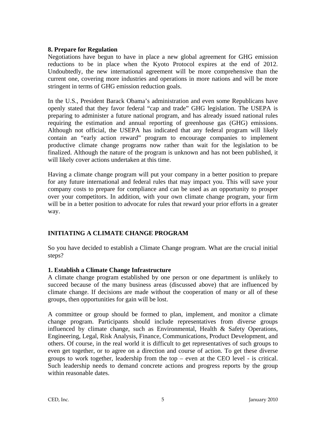#### **8. Prepare for Regulation**

Negotiations have begun to have in place a new global agreement for GHG emission reductions to be in place when the Kyoto Protocol expires at the end of 2012. Undoubtedly, the new international agreement will be more comprehensive than the current one, covering more industries and operations in more nations and will be more stringent in terms of GHG emission reduction goals.

In the U.S., President Barack Obama's administration and even some Republicans have openly stated that they favor federal "cap and trade" GHG legislation. The USEPA is preparing to administer a future national program, and has already issued national rules requiring the estimation and annual reporting of greenhouse gas (GHG) emissions. Although not official, the USEPA has indicated that any federal program will likely contain an "early action reward" program to encourage companies to implement productive climate change programs now rather than wait for the legislation to be finalized. Although the nature of the program is unknown and has not been published, it will likely cover actions undertaken at this time.

Having a climate change program will put your company in a better position to prepare for any future international and federal rules that may impact you. This will save your company costs to prepare for compliance and can be used as an opportunity to prosper over your competitors. In addition, with your own climate change program, your firm will be in a better position to advocate for rules that reward your prior efforts in a greater way.

# **INITIATING A CLIMATE CHANGE PROGRAM**

So you have decided to establish a Climate Change program. What are the crucial initial steps?

#### **1. Establish a Climate Change Infrastructure**

A climate change program established by one person or one department is unlikely to succeed because of the many business areas (discussed above) that are influenced by climate change. If decisions are made without the cooperation of many or all of these groups, then opportunities for gain will be lost.

A committee or group should be formed to plan, implement, and monitor a climate change program. Participants should include representatives from diverse groups influenced by climate change, such as Environmental, Health & Safety Operations, Engineering, Legal, Risk Analysis, Finance, Communications, Product Development, and others. Of course, in the real world it is difficult to get representatives of such groups to even get together, or to agree on a direction and course of action. To get these diverse groups to work together, leadership from the top – even at the CEO level - is critical. Such leadership needs to demand concrete actions and progress reports by the group within reasonable dates.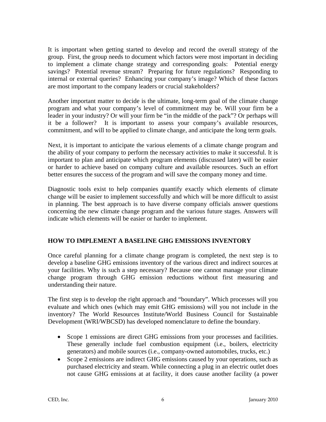It is important when getting started to develop and record the overall strategy of the group. First, the group needs to document which factors were most important in deciding to implement a climate change strategy and corresponding goals: Potential energy savings? Potential revenue stream? Preparing for future regulations? Responding to internal or external queries? Enhancing your company's image? Which of these factors are most important to the company leaders or crucial stakeholders?

Another important matter to decide is the ultimate, long-term goal of the climate change program and what your company's level of commitment may be. Will your firm be a leader in your industry? Or will your firm be "in the middle of the pack"? Or perhaps will it be a follower? It is important to assess your company's available resources, commitment, and will to be applied to climate change, and anticipate the long term goals.

Next, it is important to anticipate the various elements of a climate change program and the ability of your company to perform the necessary activities to make it successful. It is important to plan and anticipate which program elements (discussed later) will be easier or harder to achieve based on company culture and available resources. Such an effort better ensures the success of the program and will save the company money and time.

Diagnostic tools exist to help companies quantify exactly which elements of climate change will be easier to implement successfully and which will be more difficult to assist in planning. The best approach is to have diverse company officials answer questions concerning the new climate change program and the various future stages. Answers will indicate which elements will be easier or harder to implement.

# **HOW TO IMPLEMENT A BASELINE GHG EMISSIONS INVENTORY**

Once careful planning for a climate change program is completed, the next step is to develop a baseline GHG emissions inventory of the various direct and indirect sources at your facilities. Why is such a step necessary? Because one cannot manage your climate change program through GHG emission reductions without first measuring and understanding their nature.

The first step is to develop the right approach and "boundary". Which processes will you evaluate and which ones (which may emit GHG emissions) will you not include in the inventory? The World Resources Institute/World Business Council for Sustainable Development (WRI/WBCSD) has developed nomenclature to define the boundary.

- Scope 1 emissions are direct GHG emissions from your processes and facilities. These generally include fuel combustion equipment (i.e., boilers, electricity generators) and mobile sources (i.e., company-owned automobiles, trucks, etc.)
- Scope 2 emissions are indirect GHG emissions caused by your operations, such as purchased electricity and steam. While connecting a plug in an electric outlet does not cause GHG emissions at at facility, it does cause another facility (a power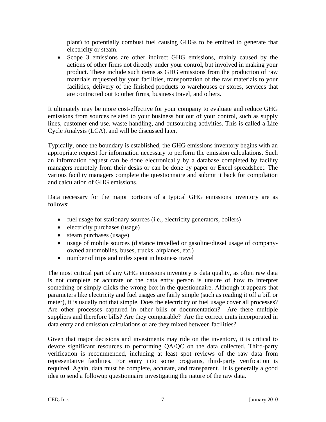plant) to potentially combust fuel causing GHGs to be emitted to generate that electricity or steam.

• Scope 3 emissions are other indirect GHG emissions, mainly caused by the actions of other firms not directly under your control, but involved in making your product. These include such items as GHG emissions from the production of raw materials requested by your facilities, transportation of the raw materials to your facilities, delivery of the finished products to warehouses or stores, services that are contracted out to other firms, business travel, and others.

It ultimately may be more cost-effective for your company to evaluate and reduce GHG emissions from sources related to your business but out of your control, such as supply lines, customer end use, waste handling, and outsourcing activities. This is called a Life Cycle Analysis (LCA), and will be discussed later.

Typically, once the boundary is established, the GHG emissions inventory begins with an appropriate request for information necessary to perform the emission calculations. Such an information request can be done electronically by a database completed by facility managers remotely from their desks or can be done by paper or Excel spreadsheet. The various facility managers complete the questionnaire and submit it back for compilation and calculation of GHG emissions.

Data necessary for the major portions of a typical GHG emissions inventory are as follows:

- fuel usage for stationary sources (i.e., electricity generators, boilers)
- electricity purchases (usage)
- steam purchases (usage)
- usage of mobile sources (distance travelled or gasoline/diesel usage of companyowned automobiles, buses, trucks, airplanes, etc.)
- number of trips and miles spent in business travel

The most critical part of any GHG emissions inventory is data quality, as often raw data is not complete or accurate or the data entry person is unsure of how to interpret something or simply clicks the wrong box in the questionnaire. Although it appears that parameters like electricity and fuel usages are fairly simple (such as reading it off a bill or meter), it is usually not that simple. Does the electricity or fuel usage cover all processes? Are other processes captured in other bills or documentation? Are there multiple suppliers and therefore bills? Are they comparable? Are the correct units incorporated in data entry and emission calculations or are they mixed between facilities?

Given that major decisions and investments may ride on the inventory, it is critical to devote significant resources to performing QA/QC on the data collected. Third-party verification is recommended, including at least spot reviews of the raw data from representative facilities. For entry into some programs, third-party verification is required. Again, data must be complete, accurate, and transparent. It is generally a good idea to send a followup questionnaire investigating the nature of the raw data.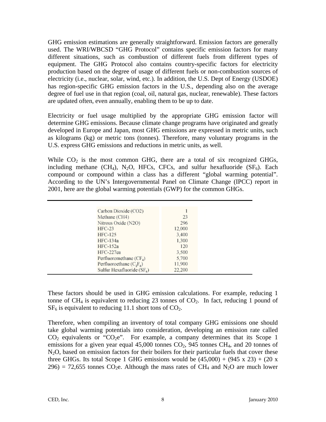GHG emission estimations are generally straightforward. Emission factors are generally used. The WRI/WBCSD "GHG Protocol" contains specific emission factors for many different situations, such as combustion of different fuels from different types of equipment. The GHG Protocol also contains country-specific factors for electricity production based on the degree of usage of different fuels or non-combustion sources of electricity (i.e., nuclear, solar, wind, etc.). In addition, the U.S. Dept of Energy (USDOE) has region-specific GHG emission factors in the U.S., depending also on the average degree of fuel use in that region (coal, oil, natural gas, nuclear, renewable). These factors are updated often, even annually, enabling them to be up to date.

Electricity or fuel usage multiplied by the appropriate GHG emission factor will determine GHG emissions. Because climate change programs have originated and greatly developed in Europe and Japan, most GHG emissions are expressed in metric units, such as kilograms (kg) or metric tons (tonnes). Therefore, many voluntary programs in the U.S. express GHG emissions and reductions in metric units, as well.

While  $CO<sub>2</sub>$  is the most common GHG, there are a total of six recognized GHGs, including methane (CH<sub>4</sub>), N<sub>2</sub>O, HFCs, CFCs, and sulfur hexafluoride (SF<sub>6</sub>). Each compound or compound within a class has a different "global warming potential". According to the UN's Intergovernmental Panel on Climate Change (IPCC) report in 2001, here are the global warming potentials (GWP) for the common GHGs.

| Carbon Dioxide (CO2)         |        |
|------------------------------|--------|
| Methane (CH4)                | 23     |
| Nitrous Oxide (N2O)          | 296    |
| <b>HFC-23</b>                | 12.000 |
| HFC-125                      | 3.400  |
| HFC-134a                     | 1.300  |
| HFC-152a                     | 120    |
| HFC-227ea                    | 3.500  |
| Perfluoromethane $(CF_A)$    | 5.700  |
| Perfluoroethane $(C_2F_6)$   | 11,900 |
| Sulfur Hexafluoride $(SF_6)$ | 22.200 |

These factors should be used in GHG emission calculations. For example, reducing 1 tonne of  $CH_4$  is equivalent to reducing 23 tonnes of  $CO_2$ . In fact, reducing 1 pound of  $SF<sub>6</sub>$  is equivalent to reducing 11.1 short tons of  $CO<sub>2</sub>$ .

Therefore, when compiling an inventory of total company GHG emissions one should take global warming potentials into consideration, developing an emission rate called  $CO<sub>2</sub>$  equivalents or " $CO<sub>2</sub>e$ ". For example, a company determines that its Scope 1 emissions for a given year equal  $45,000$  tonnes  $CO<sub>2</sub>$ ,  $945$  tonnes  $CH<sub>4</sub>$ , and 20 tonnes of N<sub>2</sub>O, based on emission factors for their boilers for their particular fuels that cover these three GHGs. Its total Scope 1 GHG emissions would be  $(45,000) + (945 \times 23) + (20 \times$ 296) = 72,655 tonnes CO<sub>2</sub>e. Although the mass rates of CH<sub>4</sub> and N<sub>2</sub>O are much lower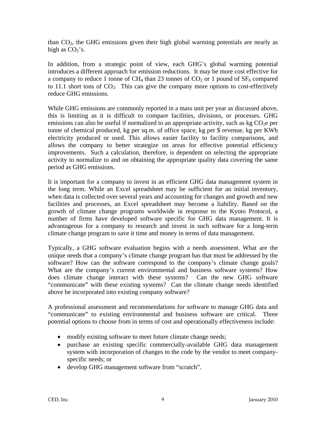than  $CO<sub>2</sub>$ , the GHG emissions given their high global warming potentials are nearly as high as  $CO<sub>2</sub>'s$ .

In addition, from a strategic point of view, each GHG's global warming potential introduces a different approach for emission reductions. It may be more cost effective for a company to reduce 1 tonne of CH<sub>4</sub> than 23 tonnes of  $CO<sub>2</sub>$  or 1 pound of  $SF<sub>6</sub>$  compared to 11.1 short tons of  $CO<sub>2</sub>$ . This can give the company more options to cost-effectively reduce GHG emissions.

While GHG emissions are commonly reported in a mass unit per year as discussed above, this is limiting as it is difficult to compare facilities, divisions, or processes. GHG emissions can also be useful if normalized to an appropriate activity, such as kg  $CO<sub>2</sub>e$  per tonne of chemical produced, kg per sq.m. of office space, kg per \$ revenue, kg per KWh electricity produced or used. This allows easier facility to facility comparisons, and allows the company to better strategize on areas for effective potential efficiency improvements. Such a calculation, therefore, is dependent on selecting the appropriate activity to normalize to and on obtaining the appropriate quality data covering the same period as GHG emissions.

It is important for a company to invest in an efficient GHG data management system in the long term. While an Excel spreadsheet may be sufficient for an initial inventory, when data is collected over several years and accounting for changes and growth and new facilities and processes, an Excel spreadsheet may become a liability. Based on the growth of climate change programs worldwide in response to the Kyoto Protocol, a number of firms have developed software specific for GHG data management. It is advantageous for a company to research and invest in such software for a long-term climate change program to save it time and money in terms of data management.

Typically, a GHG software evaluation begins with a needs assessment. What are the unique needs that a company's climate change program has that must be addressed by the software? How can the software correspond to the company's climate change goals? What are the company's current environmental and business software systems? How does climate change interact with these systems? Can the new GHG software "communicate" with these existing systems? Can the climate change needs identified above be incorporated into existing company software?

A professional assessment and recommendations for software to manage GHG data and "communicate" to existing environmental and business software are critical. Three potential options to choose from in terms of cost and operationally effectiveness include:

- modify existing software to meet future climate change needs;
- purchase an existing specific commercially-available GHG data management system with incorporation of changes to the code by the vendor to meet companyspecific needs; or
- develop GHG management software from "scratch".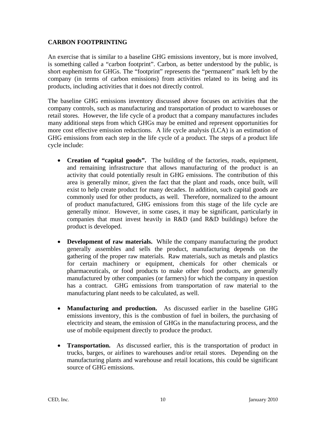#### **CARBON FOOTPRINTING**

An exercise that is similar to a baseline GHG emissions inventory, but is more involved, is something called a "carbon footprint". Carbon, as better understood by the public, is short euphemism for GHGs. The "footprint" represents the "permanent" mark left by the company (in terms of carbon emissions) from activities related to its being and its products, including activities that it does not directly control.

The baseline GHG emissions inventory discussed above focuses on activities that the company controls, such as manufacturing and transportation of product to warehouses or retail stores. However, the life cycle of a product that a company manufactures includes many additional steps from which GHGs may be emitted and represent opportunities for more cost effective emission reductions. A life cycle analysis (LCA) is an estimation of GHG emissions from each step in the life cycle of a product. The steps of a product life cycle include:

- **Creation of "capital goods".** The building of the factories, roads, equipment, and remaining infrastructure that allows manufacturing of the product is an activity that could potentially result in GHG emissions. The contribution of this area is generally minor, given the fact that the plant and roads, once built, will exist to help create product for many decades. In addition, such capital goods are commonly used for other products, as well. Therefore, normalized to the amount of product manufactured, GHG emissions from this stage of the life cycle are generally minor. However, in some cases, it may be significant, particularly in companies that must invest heavily in R&D (and R&D buildings) before the product is developed.
- **Development of raw materials.** While the company manufacturing the product generally assembles and sells the product, manufacturing depends on the gathering of the proper raw materials. Raw materials, such as metals and plastics for certain machinery or equipment, chemicals for other chemicals or pharmaceuticals, or food products to make other food products, are generally manufactured by other companies (or farmers) for which the company in question has a contract. GHG emissions from transportation of raw material to the manufacturing plant needs to be calculated, as well.
- **Manufacturing and production.** As discussed earlier in the baseline GHG emissions inventory, this is the combustion of fuel in boilers, the purchasing of electricity and steam, the emission of GHGs in the manufacturing process, and the use of mobile equipment directly to produce the product.
- **Transportation.** As discussed earlier, this is the transportation of product in trucks, barges, or airlines to warehouses and/or retail stores. Depending on the manufacturing plants and warehouse and retail locations, this could be significant source of GHG emissions.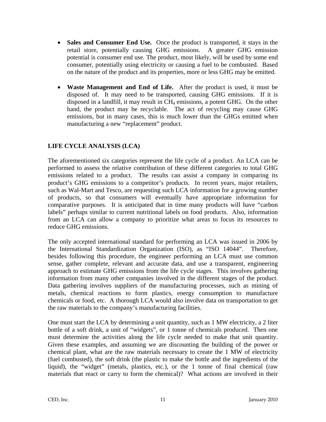- **Sales and Consumer End Use.** Once the product is transported, it stays in the retail store, potentially causing GHG emissions. A greater GHG emission potential is consumer end use. The product, most likely, will be used by some end consumer, potentially using electricity or causing a fuel to be combusted. Based on the nature of the product and its properties, more or less GHG may be emitted.
- **Waste Management and End of Life.** After the product is used, it must be disposed of. It may need to be transported, causing GHG emissions. If it is disposed in a landfill, it may result in CH4 emissions, a potent GHG. On the other hand, the product may be recyclable. The act of recycling may cause GHG emissions, but in many cases, this is much lower than the GHGs emitted when manufacturing a new "replacement" product.

# **LIFE CYCLE ANALYSIS (LCA)**

The aforementioned six categories represent the life cycle of a product. An LCA can be performed to assess the relative contribution of these different categories to total GHG emissions related to a product. The results can assist a company in comparing its product's GHG emissions to a competitor's products. In recent years, major retailers, such as Wal-Mart and Tesco, are requesting such LCA information for a growing number of products, so that consumers will eventually have appropriate information for comparative purposes. It is anticipated that in time many products will have "carbon labels" perhaps similar to current nutritional labels on food products. Also, information from an LCA can allow a company to prioritize what areas to focus its resources to reduce GHG emissions.

The only accepted international standard for performing an LCA was issued in 2006 by the International Standardization Organization (ISO), as "ISO 14044". Therefore, besides following this procedure, the engineer performing an LCA must use common sense, gather complete, relevant and accurate data, and use a transparent, engineering approach to estimate GHG emissions from the life cycle stages. This involves gathering information from many other companies involved in the different stages of the product. Data gathering involves suppliers of the manufacturing processes, such as mining of metals, chemical reactions to form plastics, energy consumption to manufacture chemicals or food, etc. A thorough LCA would also involve data on transportation to get the raw materials to the company's manufacturing facilities.

One must start the LCA by determining a unit quantity, such as 1 MW electricity, a 2 liter bottle of a soft drink, a unit of "widgets", or 1 tonne of chemicals produced. Then one must determine the activities along the life cycle needed to make that unit quantity. Given these examples, and assuming we are discounting the building of the power or chemical plant, what are the raw materials necessary to create the 1 MW of electricity (fuel combusted), the soft drink (the plastic to make the bottle and the ingredients of the liquid), the "widget" (metals, plastics, etc.), or the 1 tonne of final chemical (raw materials that react or carry to form the chemical)? What actions are involved in their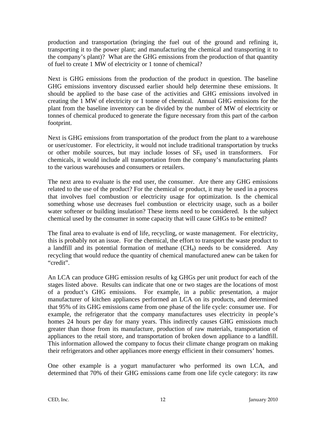production and transportation (bringing the fuel out of the ground and refining it, transporting it to the power plant; and manufacturing the chemical and transporting it to the company's plant)? What are the GHG emissions from the production of that quantity of fuel to create 1 MW of electricity or 1 tonne of chemical?

Next is GHG emissions from the production of the product in question. The baseline GHG emissions inventory discussed earlier should help determine these emissions. It should be applied to the base case of the activities and GHG emissions involved in creating the 1 MW of electricity or 1 tonne of chemical. Annual GHG emissions for the plant from the baseline inventory can be divided by the number of MW of electricity or tonnes of chemical produced to generate the figure necessary from this part of the carbon footprint.

Next is GHG emissions from transportation of the product from the plant to a warehouse or user/customer. For electricity, it would not include traditional transportation by trucks or other mobile sources, but may include losses of  $SF<sub>6</sub>$  used in transformers. For chemicals, it would include all transportation from the company's manufacturing plants to the various warehouses and consumers or retailers.

The next area to evaluate is the end user, the consumer. Are there any GHG emissions related to the use of the product? For the chemical or product, it may be used in a process that involves fuel combustion or electricity usage for optimization. Is the chemical something whose use decreases fuel combustion or electricity usage, such as a boiler water softener or building insulation? These items need to be considered. Is the subject chemical used by the consumer in some capacity that will cause GHGs to be emitted?

The final area to evaluate is end of life, recycling, or waste management. For electricity, this is probably not an issue. For the chemical, the effort to transport the waste product to a landfill and its potential formation of methane  $(CH<sub>4</sub>)$  needs to be considered. Any recycling that would reduce the quantity of chemical manufactured anew can be taken for "credit".

An LCA can produce GHG emission results of kg GHGs per unit product for each of the stages listed above. Results can indicate that one or two stages are the locations of most of a product's GHG emissions. For example, in a public presentation, a major manufacturer of kitchen appliances performed an LCA on its products, and determined that 95% of its GHG emissions came from one phase of the life cycle: consumer use. For example, the refrigerator that the company manufactures uses electricity in people's homes 24 hours per day for many years. This indirectly causes GHG emissions much greater than those from its manufacture, production of raw materials, transportation of appliances to the retail store, and transportation of broken down appliance to a landfill. This information allowed the company to focus their climate change program on making their refrigerators and other appliances more energy efficient in their consumers' homes.

One other example is a yogurt manufacturer who performed its own LCA, and determined that 70% of their GHG emissions came from one life cycle category: its raw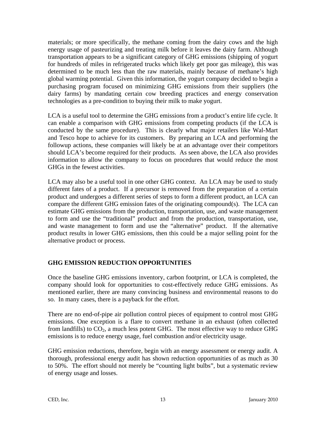materials; or more specifically, the methane coming from the dairy cows and the high energy usage of pasteurizing and treating milk before it leaves the dairy farm. Although transportation appears to be a significant category of GHG emissions (shipping of yogurt for hundreds of miles in refrigerated trucks which likely get poor gas mileage), this was determined to be much less than the raw materials, mainly because of methane's high global warming potential. Given this information, the yogurt company decided to begin a purchasing program focused on minimizing GHG emissions from their suppliers (the dairy farms) by mandating certain cow breeding practices and energy conservation technologies as a pre-condition to buying their milk to make yogurt.

LCA is a useful tool to determine the GHG emissions from a product's entire life cycle. It can enable a comparison with GHG emissions from competing products (if the LCA is conducted by the same procedure). This is clearly what major retailers like Wal-Mart and Tesco hope to achieve for its customers. By preparing an LCA and performing the followup actions, these companies will likely be at an advantage over their competitors should LCA's become required for their products. As seen above, the LCA also provides information to allow the company to focus on procedures that would reduce the most GHGs in the fewest activities.

LCA may also be a useful tool in one other GHG context. An LCA may be used to study different fates of a product. If a precursor is removed from the preparation of a certain product and undergoes a different series of steps to form a different product, an LCA can compare the different GHG emission fates of the originating compound(s). The LCA can estimate GHG emissions from the production, transportation, use, and waste management to form and use the "traditional" product and from the production, transportation, use, and waste management to form and use the "alternative" product. If the alternative product results in lower GHG emissions, then this could be a major selling point for the alternative product or process.

# **GHG EMISSION REDUCTION OPPORTUNITIES**

Once the baseline GHG emissions inventory, carbon footprint, or LCA is completed, the company should look for opportunities to cost-effectively reduce GHG emissions. As mentioned earlier, there are many convincing business and environmental reasons to do so. In many cases, there is a payback for the effort.

There are no end-of-pipe air pollution control pieces of equipment to control most GHG emissions. One exception is a flare to convert methane in an exhaust (often collected from landfills) to  $CO<sub>2</sub>$ , a much less potent GHG. The most effective way to reduce GHG emissions is to reduce energy usage, fuel combustion and/or electricity usage.

GHG emission reductions, therefore, begin with an energy assessment or energy audit. A thorough, professional energy audit has shown reduction opportunities of as much as 30 to 50%. The effort should not merely be "counting light bulbs", but a systematic review of energy usage and losses.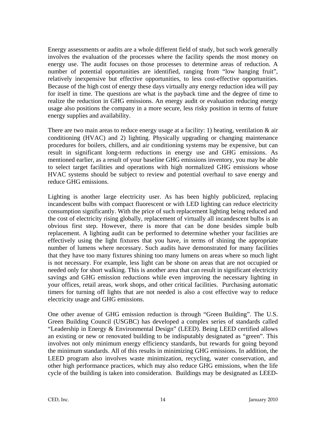Energy assessments or audits are a whole different field of study, but such work generally involves the evaluation of the processes where the facility spends the most money on energy use. The audit focuses on those processes to determine areas of reduction. A number of potential opportunities are identified, ranging from "low hanging fruit", relatively inexpensive but effective opportunities, to less cost-effective opportunities. Because of the high cost of energy these days virtually any energy reduction idea will pay for itself in time. The questions are what is the payback time and the degree of time to realize the reduction in GHG emissions. An energy audit or evaluation reducing energy usage also positions the company in a more secure, less risky position in terms of future energy supplies and availability.

There are two main areas to reduce energy usage at a facility: 1) heating, ventilation  $\&$  air conditioning (HVAC) and 2) lighting. Physically upgrading or changing maintenance procedures for boilers, chillers, and air conditioning systems may be expensive, but can result in significant long-term reductions in energy use and GHG emissions. As mentioned earlier, as a result of your baseline GHG emissions inventory, you may be able to select target facilities and operations with high normalized GHG emissions whose HVAC systems should be subject to review and potential overhaul to save energy and reduce GHG emissions.

Lighting is another large electricity user. As has been highly publicized, replacing incandescent bulbs with compact fluorescent or with LED lighting can reduce electricity consumption significantly. With the price of such replacement lighting being reduced and the cost of electricity rising globally, replacement of virtually all incandescent bulbs is an obvious first step. However, there is more that can be done besides simple bulb replacement. A lighting audit can be performed to determine whether your facilities are effectively using the light fixtures that you have, in terms of shining the appropriate number of lumens where necessary. Such audits have demonstrated for many facilities that they have too many fixtures shining too many lumens on areas where so much light is not necessary. For example, less light can be shone on areas that are not occupied or needed only for short walking. This is another area that can result in significant electricity savings and GHG emission reductions while even improving the necessary lighting in your offices, retail areas, work shops, and other critical facilities. Purchasing automatic timers for turning off lights that are not needed is also a cost effective way to reduce electricity usage and GHG emissions.

One other avenue of GHG emission reduction is through "Green Building". The U.S. Green Building Council (USGBC) has developed a complex series of standards called "Leadership in Energy & Environmental Design" (LEED). Being LEED certified allows an existing or new or renovated building to be indisputably designated as "green". This involves not only minimum energy efficiency standards, but rewards for going beyond the minimum standards. All of this results in minimizing GHG emissions. In addition, the LEED program also involves waste minimization, recycling, water conservation, and other high performance practices, which may also reduce GHG emissions, when the life cycle of the building is taken into consideration. Buildings may be designated as LEED-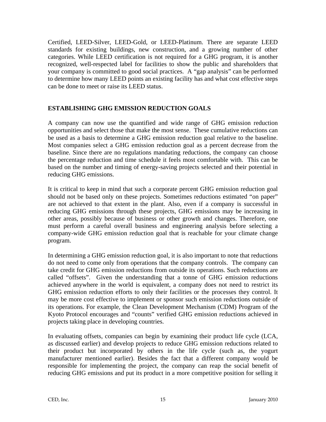Certified, LEED-Silver, LEED-Gold, or LEED-Platinum. There are separate LEED standards for existing buildings, new construction, and a growing number of other categories. While LEED certification is not required for a GHG program, it is another recognized, well-respected label for facilities to show the public and shareholders that your company is committed to good social practices. A "gap analysis" can be performed to determine how many LEED points an existing facility has and what cost effective steps can be done to meet or raise its LEED status.

#### **ESTABLISHING GHG EMISSION REDUCTION GOALS**

A company can now use the quantified and wide range of GHG emission reduction opportunities and select those that make the most sense. These cumulative reductions can be used as a basis to determine a GHG emission reduction goal relative to the baseline. Most companies select a GHG emission reduction goal as a percent decrease from the baseline. Since there are no regulations mandating reductions, the company can choose the percentage reduction and time schedule it feels most comfortable with. This can be based on the number and timing of energy-saving projects selected and their potential in reducing GHG emissions.

It is critical to keep in mind that such a corporate percent GHG emission reduction goal should not be based only on these projects. Sometimes reductions estimated "on paper" are not achieved to that extent in the plant. Also, even if a company is successful in reducing GHG emissions through these projects, GHG emissions may be increasing in other areas, possibly because of business or other growth and changes. Therefore, one must perform a careful overall business and engineering analysis before selecting a company-wide GHG emission reduction goal that is reachable for your climate change program.

In determining a GHG emission reduction goal, it is also important to note that reductions do not need to come only from operations that the company controls. The company can take credit for GHG emission reductions from outside its operations. Such reductions are called "offsets". Given the understanding that a tonne of GHG emission reductions achieved anywhere in the world is equivalent, a company does not need to restrict its GHG emission reduction efforts to only their facilities or the processes they control. It may be more cost effective to implement or sponsor such emission reductions outside of its operations. For example, the Clean Development Mechanism (CDM) Program of the Kyoto Protocol encourages and "counts" verified GHG emission reductions achieved in projects taking place in developing countries.

In evaluating offsets, companies can begin by examining their product life cycle (LCA, as discussed earlier) and develop projects to reduce GHG emission reductions related to their product but incorporated by others in the life cycle (such as, the yogurt manufacturer mentioned earlier). Besides the fact that a different company would be responsible for implementing the project, the company can reap the social benefit of reducing GHG emissions and put its product in a more competitive position for selling it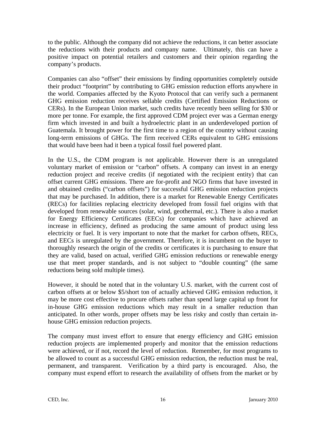to the public. Although the company did not achieve the reductions, it can better associate the reductions with their products and company name. Ultimately, this can have a positive impact on potential retailers and customers and their opinion regarding the company's products.

Companies can also "offset" their emissions by finding opportunities completely outside their product "footprint" by contributing to GHG emission reduction efforts anywhere in the world. Companies affected by the Kyoto Protocol that can verify such a permanent GHG emission reduction receives sellable credits (Certified Emission Reductions or CERs). In the European Union market, such credits have recently been selling for \$30 or more per tonne. For example, the first approved CDM project ever was a German energy firm which invested in and built a hydroelectric plant in an underdeveloped portion of Guatemala. It brought power for the first time to a region of the country without causing long-term emissions of GHGs. The firm received CERs equivalent to GHG emissions that would have been had it been a typical fossil fuel powered plant.

In the U.S., the CDM program is not applicable. However there is an unregulated voluntary market of emission or "carbon" offsets. A company can invest in an energy reduction project and receive credits (if negotiated with the recipient entity) that can offset current GHG emissions. There are for-profit and NGO firms that have invested in and obtained credits ("carbon offsets") for successful GHG emission reduction projects that may be purchased. In addition, there is a market for Renewable Energy Certificates (RECs) for facilities replacing electricity developed from fossil fuel origins with that developed from renewable sources (solar, wind, geothermal, etc.). There is also a market for Energy Efficiency Certificates (EECs) for companies which have achieved an increase in efficiency, defined as producing the same amount of product using less electricity or fuel. It is very important to note that the market for carbon offsets, RECs, and EECs is unregulated by the government. Therefore, it is incumbent on the buyer to thoroughly research the origin of the credits or certificates it is purchasing to ensure that they are valid, based on actual, verified GHG emission reductions or renewable energy use that meet proper standards, and is not subject to "double counting" (the same reductions being sold multiple times).

However, it should be noted that in the voluntary U.S. market, with the current cost of carbon offsets at or below \$5/short ton of actually achieved GHG emission reduction, it may be more cost effective to procure offsets rather than spend large capital up front for in-house GHG emission reductions which may result in a smaller reduction than anticipated. In other words, proper offsets may be less risky and costly than certain inhouse GHG emission reduction projects.

The company must invest effort to ensure that energy efficiency and GHG emission reduction projects are implemented properly and monitor that the emission reductions were achieved, or if not, record the level of reduction. Remember, for most programs to be allowed to count as a successful GHG emission reduction, the reduction must be real, permanent, and transparent. Verification by a third party is encouraged. Also, the company must expend effort to research the availability of offsets from the market or by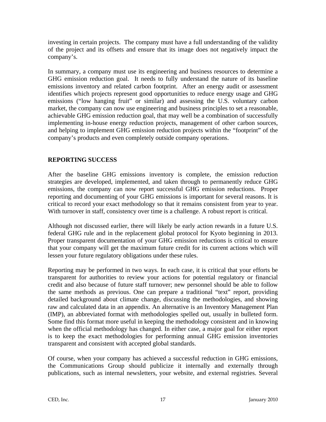investing in certain projects. The company must have a full understanding of the validity of the project and its offsets and ensure that its image does not negatively impact the company's.

In summary, a company must use its engineering and business resources to determine a GHG emission reduction goal. It needs to fully understand the nature of its baseline emissions inventory and related carbon footprint. After an energy audit or assessment identifies which projects represent good opportunities to reduce energy usage and GHG emissions ("low hanging fruit" or similar) and assessing the U.S. voluntary carbon market, the company can now use engineering and business principles to set a reasonable, achievable GHG emission reduction goal, that may well be a combination of successfully implementing in-house energy reduction projects, management of other carbon sources, and helping to implement GHG emission reduction projects within the "footprint" of the company's products and even completely outside company operations.

### **REPORTING SUCCESS**

After the baseline GHG emissions inventory is complete, the emission reduction strategies are developed, implemented, and taken through to permanently reduce GHG emissions, the company can now report successful GHG emission reductions. Proper reporting and documenting of your GHG emissions is important for several reasons. It is critical to record your exact methodology so that it remains consistent from year to year. With turnover in staff, consistency over time is a challenge. A robust report is critical.

Although not discussed earlier, there will likely be early action rewards in a future U.S. federal GHG rule and in the replacement global protocol for Kyoto beginning in 2013. Proper transparent documentation of your GHG emission reductions is critical to ensure that your company will get the maximum future credit for its current actions which will lessen your future regulatory obligations under these rules.

Reporting may be performed in two ways. In each case, it is critical that your efforts be transparent for authorities to review your actions for potential regulatory or financial credit and also because of future staff turnover; new personnel should be able to follow the same methods as previous. One can prepare a traditional "text" report, providing detailed background about climate change, discussing the methodologies, and showing raw and calculated data in an appendix. An alternative is an Inventory Management Plan (IMP), an abbreviated format with methodologies spelled out, usually in bulleted form. Some find this format more useful in keeping the methodology consistent and in knowing when the official methodology has changed. In either case, a major goal for either report is to keep the exact methodologies for performing annual GHG emission inventories transparent and consistent with accepted global standards.

Of course, when your company has achieved a successful reduction in GHG emissions, the Communications Group should publicize it internally and externally through publications, such as internal newsletters, your website, and external registries. Several